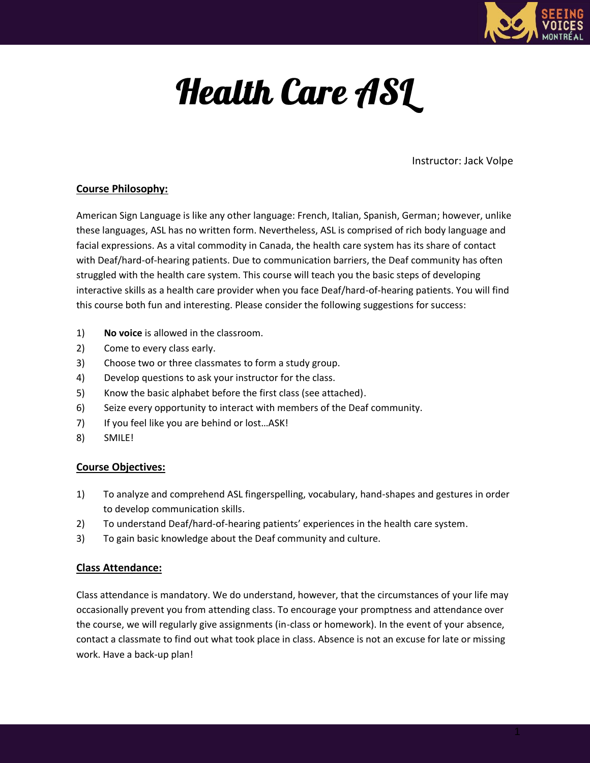

## **Health Care ASL**

Instructor: Jack Volpe

## **Course Philosophy:**

American Sign Language is like any other language: French, Italian, Spanish, German; however, unlike these languages, ASL has no written form. Nevertheless, ASL is comprised of rich body language and facial expressions. As a vital commodity in Canada, the health care system has its share of contact with Deaf/hard-of-hearing patients. Due to communication barriers, the Deaf community has often struggled with the health care system. This course will teach you the basic steps of developing interactive skills as a health care provider when you face Deaf/hard-of-hearing patients. You will find this course both fun and interesting. Please consider the following suggestions for success:

- 1) **No voice** is allowed in the classroom.
- 2) Come to every class early.
- 3) Choose two or three classmates to form a study group.
- 4) Develop questions to ask your instructor for the class.
- 5) Know the basic alphabet before the first class (see attached).
- 6) Seize every opportunity to interact with members of the Deaf community.
- 7) If you feel like you are behind or lost…ASK!
- 8) SMILE!

## **Course Objectives:**

- 1) To analyze and comprehend ASL fingerspelling, vocabulary, hand-shapes and gestures in order to develop communication skills.
- 2) To understand Deaf/hard-of-hearing patients' experiences in the health care system.
- 3) To gain basic knowledge about the Deaf community and culture.

## **Class Attendance:**

Class attendance is mandatory. We do understand, however, that the circumstances of your life may occasionally prevent you from attending class. To encourage your promptness and attendance over the course, we will regularly give assignments (in-class or homework). In the event of your absence, contact a classmate to find out what took place in class. Absence is not an excuse for late or missing work. Have a back-up plan!